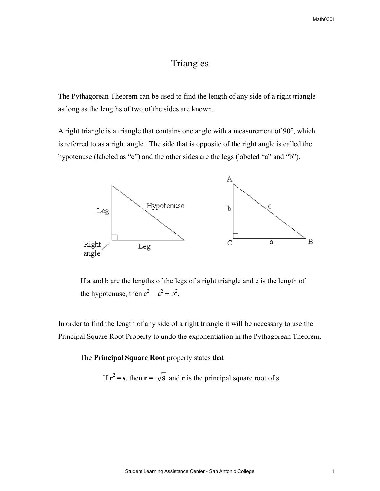# **Triangles**

The Pythagorean Theorem can be used to find the length of any side of a right triangle as long as the lengths of two of the sides are known.

A right triangle is a triangle that contains one angle with a measurement of 90°, which is referred to as a right angle. The side that is opposite of the right angle is called the hypotenuse (labeled as "c") and the other sides are the legs (labeled "a" and "b").



 If a and b are the lengths of the legs of a right triangle and c is the length of the hypotenuse, then  $c^2 = a^2 + b^2$ .

In order to find the length of any side of a right triangle it will be necessary to use the Principal Square Root Property to undo the exponentiation in the Pythagorean Theorem.

The **Principal Square Root** property states that

If  $r^2 = s$ , then  $r = \sqrt{s}$  and r is the principal square root of s.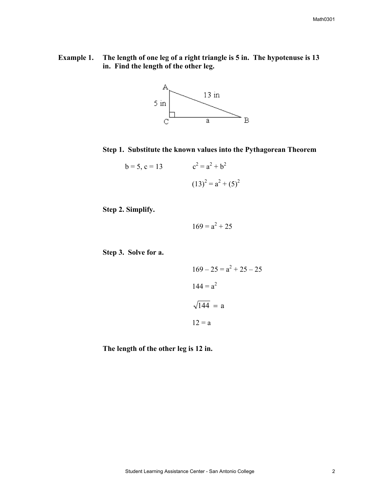**Example 1. The length of one leg of a right triangle is 5 in. The hypotenuse is 13 in. Find the length of the other leg.** 



**Step 1. Substitute the known values into the Pythagorean Theorem** 

$$
b = 5, c = 13 \t c2 = a2 + b2
$$

$$
(13)2 = a2 + (5)2
$$

**Step 2. Simplify.**

$$
169 = a^2 + 25
$$

**Step 3. Solve for a.** 

$$
169 - 25 = a2 + 25 - 25
$$

$$
144 = a2
$$

$$
\sqrt{144} = a
$$

$$
12 = a
$$

**The length of the other leg is 12 in.**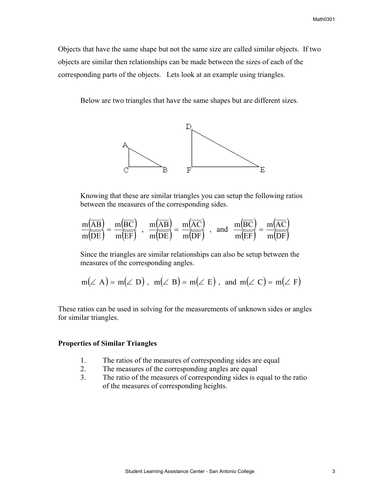Objects that have the same shape but not the same size are called similar objects. If two objects are similar then relationships can be made between the sizes of each of the corresponding parts of the objects. Lets look at an example using triangles.

Below are two triangles that have the same shapes but are different sizes.



 Knowing that these are similar triangles you can setup the following ratios between the measures of the corresponding sides.

$$
\frac{m(\overline{AB})}{m(\overline{DE})} = \frac{m(\overline{BC})}{m(\overline{EF})}, \frac{m(\overline{AB})}{m(\overline{DE})} = \frac{m(\overline{AC})}{m(\overline{DF})}, \text{ and } \frac{m(\overline{BC})}{m(\overline{EF})} = \frac{m(\overline{AC})}{m(\overline{DF})}
$$

Since the triangles are similar relationships can also be setup between the measures of the corresponding angles.

$$
m(\angle A) = m(\angle D)
$$
,  $m(\angle B) = m(\angle E)$ , and  $m(\angle C) = m(\angle F)$ 

These ratios can be used in solving for the measurements of unknown sides or angles for similar triangles.

## **Properties of Similar Triangles**

- 1. The ratios of the measures of corresponding sides are equal
- 2. The measures of the corresponding angles are equal
- 3. The ratio of the measures of corresponding sides is equal to the ratio of the measures of corresponding heights.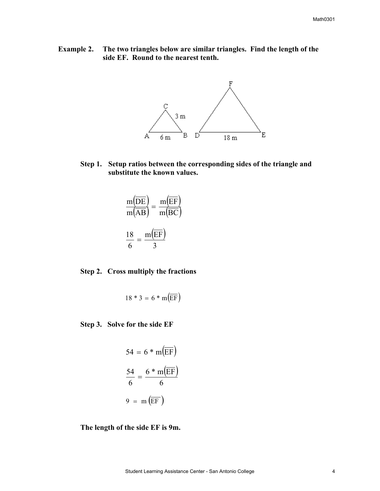**Example 2. The two triangles below are similar triangles. Find the length of the side EF. Round to the nearest tenth.** 



 **Step 1. Setup ratios between the corresponding sides of the triangle and substitute the known values.** 

$$
\frac{m(\overline{DE})}{m(\overline{AB})} = \frac{m(\overline{EF})}{m(\overline{BC})}
$$

$$
\frac{18}{6} = \frac{m(\overline{EF})}{3}
$$

## **Step 2. Cross multiply the fractions**

$$
18 * 3 = 6 * m(\overline{\text{EF}})
$$

 **Step 3. Solve for the side EF**

$$
54 = 6 * m(\overline{EF})
$$

$$
\frac{54}{6} = \frac{6 * m(\overline{EF})}{6}
$$

$$
9 = m(\overline{EF})
$$

 **The length of the side EF is 9m.**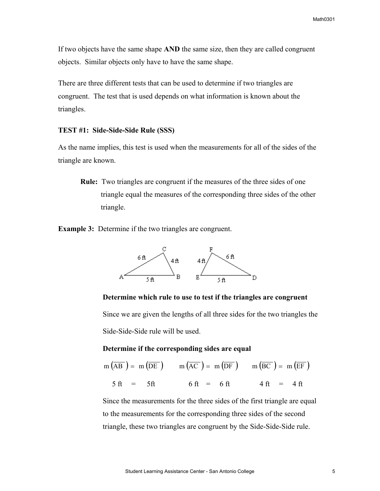If two objects have the same shape **AND** the same size, then they are called congruent objects. Similar objects only have to have the same shape.

There are three different tests that can be used to determine if two triangles are congruent. The test that is used depends on what information is known about the triangles.

## **TEST #1: Side-Side-Side Rule (SSS)**

As the name implies, this test is used when the measurements for all of the sides of the triangle are known.

**Rule:** Two triangles are congruent if the measures of the three sides of one triangle equal the measures of the corresponding three sides of the other triangle.

**Example 3:** Determine if the two triangles are congruent.



## **Determine which rule to use to test if the triangles are congruent**

 Since we are given the lengths of all three sides for the two triangles the Side-Side-Side rule will be used.

## **Determine if the corresponding sides are equal**

$$
m(\overline{AB}) = m(\overline{DE}) \qquad m(\overline{AC}) = m(\overline{DF}) \qquad m(\overline{BC}) = m(\overline{EF})
$$
  
5 ft = 5 ft \qquad 6 ft = 6 ft \qquad 4 ft = 4 ft

 Since the measurements for the three sides of the first triangle are equal to the measurements for the corresponding three sides of the second triangle, these two triangles are congruent by the Side-Side-Side rule.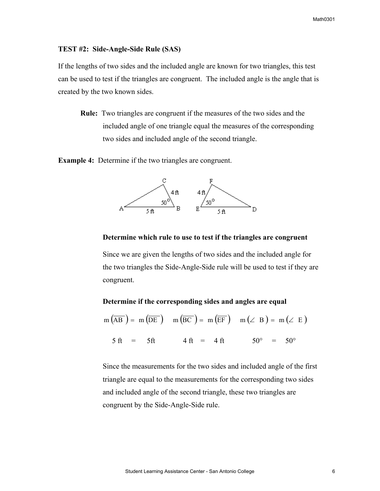#### **TEST #2: Side-Angle-Side Rule (SAS)**

If the lengths of two sides and the included angle are known for two triangles, this test can be used to test if the triangles are congruent. The included angle is the angle that is created by the two known sides.

**Rule:** Two triangles are congruent if the measures of the two sides and the included angle of one triangle equal the measures of the corresponding two sides and included angle of the second triangle.

**Example 4:** Determine if the two triangles are congruent.



## **Determine which rule to use to test if the triangles are congruent**

 Since we are given the lengths of two sides and the included angle for the two triangles the Side-Angle-Side rule will be used to test if they are congruent.

## **Determine if the corresponding sides and angles are equal**

$$
m(\overline{AB}) = m(\overline{DE}) \quad m(\overline{BC}) = m(\overline{EF}) \quad m(\angle B) = m(\angle E)
$$
  
5 ft = 5 ft 4 ft = 4 ft 50° = 50°

 Since the measurements for the two sides and included angle of the first triangle are equal to the measurements for the corresponding two sides and included angle of the second triangle, these two triangles are congruent by the Side-Angle-Side rule.